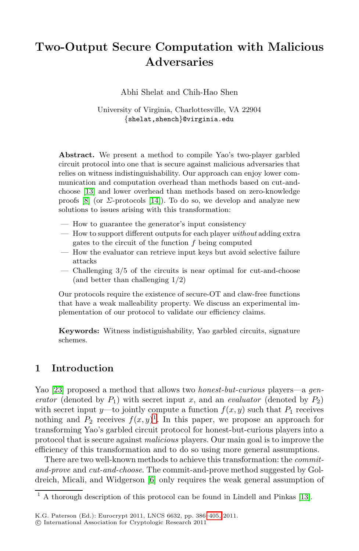# **Two-Output Secure Computation with Malicious Adversaries**

Abhi Shelat and Chih-Hao Shen

University of Virginia, Charlottesville, VA 22904 {shelat,shench}@virginia.edu

**Abstract.** We present a method to compile Yao's two-player garbled circuit protocol into one that is secure against malicious adversaries that relies on witness indistinguishability. Our approach can enjoy lower communication and computation overhead than methods based on cut-andchoose [13] and lower overhead than methods based on zero-knowledge proofs  $[8]$  (or  $\Sigma$ -protocols  $[14]$ ). To do so, we develop and analyze new solutions to issues arising with this transformation:

- How to guarantee the generator's input consistency
- How to support different outputs for each player *without* adding extra gates to the circuit of the function  $f$  being computed
- How the evaluator can retrieve input keys but avoid selective failure attacks
- Challenging  $3/5$  of the circuits is near optimal for cut-and-choose (and better than challenging 1/2)

Our protocols require the existence of secure-OT and claw-free functions that have a weak malleability property. We discuss an experimental implementation of our protocol to validate our efficiency claims.

**Keywords:** Witness indistiguishability, Yao garbled circuits, signature scheme[s.](#page-0-0)

# **1 Introduction**

Yao [23] proposed a method that allows two *honest-but-curious* players—a *generator* (den[ote](#page-18-0)d by  $P_1$ ) with secret input x, and an *evaluator* (denoted by  $P_2$ ) with secret input y—to jointly compute a function  $f(x, y)$  such that  $P_1$  receives nothing and  $P_2$  receives  $f(x, y)$ <sup>1</sup>. In this paper, we [pro](#page-18-1)pose an approach for transforming Yao's garbled circuit protocol for honest-but-curious players into a protocol that is secure against *[ma](#page-19-0)licious* players. Our main goal is to improve the efficiency of this transformation and to do so using more general assumptions.

<span id="page-0-0"></span>There are two well-known methods to achieve this transformation: the *commitand-prove* and *cut-and-choose*. The commit-and-prove method suggested by Goldreich, Micali, and Widgerson [6] only requires the weak general assumption of

 $\frac{1}{1}$  A thorough description of this protocol can be found in Lindell and Pinkas [13].

K.G. Paterson (Ed.): Eurocrypt 2011, LNCS 6632, pp. 386–405, 2011.

<sup>-</sup>c International Association for Cryptologic Research 2011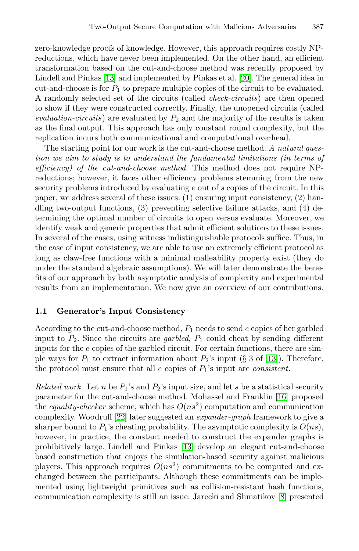zero-knowledge proofs of knowledge. However, this approach requires costly NPreductions, which have never been implemented. On the other hand, an efficient transformation based on the cut-and-choose method was recently proposed by Lindell and Pinkas [13] and implemented by Pinkas et al. [20]. The general idea in cut-and-choose is for  $P_1$  to prepare multiple copies of the circuit to be evaluated. A randomly selected set of the circuits (called *check-circuits*) are then opened to show if they were constructed correctly. Finally, the unopened circuits (called  $evaluation-circuits$ ) are evaluated by  $P_2$  and the majority of the results is taken as the final output. This approach has only constant round complexity, but the replication incurs both communicational and computational overhead.

The starting point for our work is the cut-and-choose method. *A natural question we aim to study is to understand the fundamental limitations (in terms of efficiency) of the cut-and-choose method.* This method does not require NPreductions; however, it faces other efficiency problems stemming from the new security problems introduced by evaluating e out of s copies of the circuit. In this paper, we address several of these issues: (1) ensuring input consistency, (2) handling two-output functions, (3) preventing selective failure attacks, and (4) determining the optimal number of circuits to open versus evaluate. Moreover, we identify weak and generic properties that admit efficient solutions to these issues. In several of the cases, using witness indistinguishable protocols suffice. Thus, in the case of input consistency, we are able to use an extremely efficient protocol as long as claw-free functions with a minimal malleability property exist (they do under the standard algebraic assumptions). We will later demonstrate the benefits of our approach by both asymptotic anal[ysis](#page-18-1) of complexity and experimental results from an implementation. We now give an overview of our contributions.

## **1.1 Generator's Input Consistency**

According to the cut-and-choose method,  $P_1$  needs to send  $e$  copies of her garbled inp[ut](#page-19-1) to  $P_2$ . Since the circuits are *garbled*,  $P_1$  could cheat by sending different inputs for the e copies of the garbled circuit. For certain functions, there are simple ways for  $P_1$  to extract information about  $P_2$ 's input (§ 3 of [13]). Therefore, the protocol must en[sure](#page-18-1) that all  $e$  copies of  $P_1$ 's input are *consistent*.

*Related work.* Let n be  $P_1$ 's and  $P_2$ 's input size, and let s be a statistical security parameter for the cut-and-choose method. Mohassel and Franklin [16] proposed the *equality-checker* scheme, which has  $O(ns^2)$  computation and communication complexity. Woodruff [22] later suggested an *exp[an](#page-18-2)der-graph* framework to give a sharper bound to  $P_1$ 's cheating probability. The asymptotic complexity is  $O(ns)$ , however, in practice, the constant needed to construct the expander graphs is prohibitively large. Lindell and Pinkas [13] develop an elegant cut-and-choose based construction that enjoys the simulation-based security against malicious players. This approach requires  $O(n s^2)$  commitments to be computed and exchanged between the participants. Although these commitments can be implemented using lightweight primitives such as collision-resistant hash functions, communication complexity is still an issue. Jarecki and Shmatikov [8] presented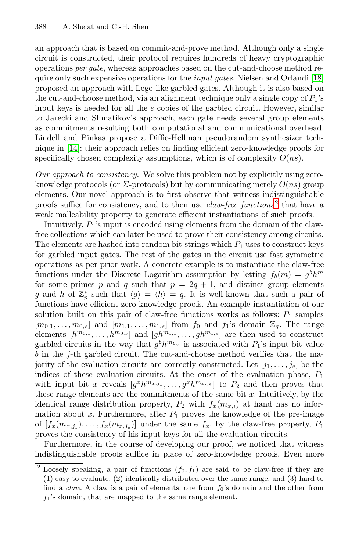an approach that is based on commit-and-prove method. Although only a single circuit is constructed, their protocol requires hundreds of heavy cryptographic operations *per gate*, whereas approaches based on the cut-and-choose method require only such expensive operations for the *input gates*. Nielsen and Orlandi [18] proposed an approach with Lego-like garbled gates. Although it is also based on the cut-and-choose method, via an alignment technique only a single copy of  $P_1$ 's input keys is needed for all the e copies of the garbled circuit. However, similar to Jarecki and Shmatikov's approach, each gate needs several group elements as commitments resulting both computational [a](#page-2-0)nd communicational overhead. Lindell and Pinkas propose a Diffie-Hellman pseudorandom synthesizer technique in [14]; their approach relies on finding efficient zero-knowledge proofs for specifically chosen complexity assumptions, which is of complexity  $O(ns)$ .

*Our approach to consistency.* We solve this problem not by explicitly using zeroknowledge protocols (or  $\Sigma$ -protocols) but by communicating merely  $O(ns)$  group elements. Our novel approach is to first observe that witness indistinguishable proofs suffice for consistency, and to then use *claw-free functions*<sup>2</sup> that have a weak malleability property to generate efficient instantiations of such proofs.

Intuitively,  $P_1$ 's input is encoded using elements from the domain of the clawfree collections which can later be used to prove their consistency among circuits. The elements are hashed into random bit-strings which  $P_1$  uses to construct keys for garbled input gates. The rest of the gates in the circuit use fast symmetric operations as per prior work. A concrete example is to instantiate the claw-free functions under the Discrete Logarithm assumption by letting  $f_b(m) = g^b h^m$ for some primes p and q such that  $p = 2q + 1$ , and distinct group elements g and h of  $\mathbb{Z}_p^*$  such that  $\langle g \rangle = \langle h \rangle = q$ . It is well-known that such a pair of functions have efficient zero-knowledge proofs. An example instantiation of our functions have efficient zero-knowledge proofs. An example instantiation of our solution built on this pair of claw-free functions works as follows:  $P_1$  samples  $[m_{0,1},\ldots,m_{0,s}]$  and  $[m_{1,1},\ldots,m_{1,s}]$  from  $f_0$  and  $f_1$ 's domain  $\mathbb{Z}_q$ . The range<br>elements  $[h^{m_{0,1}}]$  and  $[h^{m_{1,1}}]$  and  $[h^{m_{1,s}}]$  are then used to construct elements  $[h^{m_{0,1}}, \ldots, h^{m_{0,s}}]$  and  $[gh^{m_{1,1}}, \ldots, gh^{m_{1,s}}]$  are then used to construct<br>garbled circuits in the way that  $a^b h^{m_{b,j}}$  is associated with  $P$ ,'s input bit value garbled circuits in the way that  $g^b h^{m_{b,j}}$  is associated with  $P_1$ 's input bit value b in the j-th garbled circuit. The cut-and-choose method verifies that the majority of the evaluation-circuits are correctly constructed. Let  $[j_1,\ldots,j_e]$  be the indices of these evaluation-circuits. At the onset of the evaluation phase,  $P_1$ with input bit x reveals  $[g^x h^{m_x,j_1}, \ldots, g^x h^{m_x,j_e}]$  to  $P_2$  and then proves that these range elements are the commitments of the same bit  $x$ . Intuitively, by the identical range distribution property,  $P_2$  with  $f_x(m_{x,i})$  at hand has no information about x. Furthermore, after  $P_1$  proves the knowledge of the pre-image of  $[f_x(m_{x,j_1}),...,f_x(m_{x,j_e})]$  under the same  $f_x$ , by the claw-free property,  $P_1$ proves the consistency of his input keys for all the evaluation-circuits.

<span id="page-2-0"></span>Furthermore, in the course of developing our proof, we noticed that witness indistinguishable proofs suffice in place of zero-knowledge proofs. Even more

<sup>&</sup>lt;sup>2</sup> Loosely speaking, a pair of functions  $(f_0, f_1)$  are said to be claw-free if they are (1) easy to evaluate, (2) identically distributed over the same range, and (3) hard to find a *claw*. A claw is a pair of elements, one from  $f_0$ 's domain and the other from  $f_1$ 's domain, that are mapped to the same range element.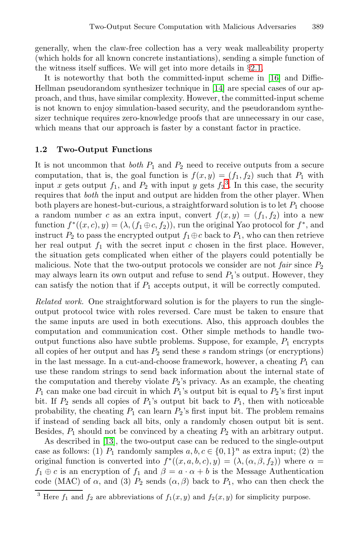generally, when the claw-free collection has a very weak malleability property (which holds for all known concrete instantiations), sending a simple function of the witness itself suffices. We will get into more details in §2.1.

It is noteworthy that both the committed-input scheme in [16] and Diffie-Hellman pseudorandom synthesizer technique in [14] are special cases of our approach, and thus, have similar complexity. However, the committed-input scheme is not known to enjoy simulation[-b](#page-3-0)ased security, and the pseudorandom synthesizer technique requires zero-knowledge proofs that are unnecessary in our case, which means that our approach is faster by a constant factor in practice.

#### **1.2 Two-Output Functions**

It is not uncommon that *both*  $P_1$  and  $P_2$  need to receive outputs from a secure computation, that is, the goal function is  $f(x, y) = (f_1, f_2)$  such that  $P_1$  with input x gets output  $f_1$ , and  $P_2$  with input y gets  $f_2^3$ . In this case, the security requires that hoth the input and output are hidden from the other player. When requires that *both* the input and output are hidden from the other player. When both players are honest-but-curious, a straightforward solution is to let  $P_1$  choose a random number c as an extra input, convert  $f(x, y) = (f_1, f_2)$  into a new function  $f^*((x, c), y) = (\lambda, (f_1 \oplus c, f_2))$ , run the original Yao protocol for  $f^*$ , and instruct  $P_2$  to pass the encrypted output  $f_1 \oplus c$  back to  $P_1$ , who can then retrieve her real output  $f_1$  with the secret input c chosen in the first place. However, the situation gets complicated when either of the players could potentially be malicious. Note that the two-output protocols we consider are not *fair* since  $P_2$ may always learn its own output and refuse to send  $P_1$ 's output. However, they can satisfy the notion that if  $P_1$  accepts output, it will be correctly computed.

*Related work.* One straightforward solution is for the players to run the singleoutput protocol twice with roles reversed. Care must be taken to ensure that the same inputs are used in both executions. Also, this approach doubles the computation and communication cost. Other simple methods to handle twooutput functions also have subtle problems. Suppose, for example,  $P_1$  encrypts all copies of her output and has  $P_2$  send these s random strings (or encryptions) [in t](#page-18-1)he last message. In a cut-and-choose framework, however, a cheating  $P_1$  can use these random strings to send back information about the internal state of the computation and thereby violate  $P_2$ 's privacy. As an example, the cheating  $P_1$  can make one bad circuit in which  $P_1$ 's output bit is equal to  $P_2$ 's first input bit. If  $P_2$  sends all copies of  $P_1$ 's output bit back to  $P_1$ , then with noticeable probability, the cheating  $P_1$  can learn  $P_2$ 's first input bit. The problem remains if instead of sending back all bits, only a randomly chosen output bit is sent. Besides,  $P_1$  should not be convinced by a cheating  $P_2$  with an arbitrary output.

<span id="page-3-0"></span>As described in [13], the two-output case can be reduced to the single-output case as follows: (1)  $P_1$  randomly samples  $a, b, c \in \{0, 1\}^n$  as extra input; (2) the original function is converted into  $f^*((x, a, b, c), y) = (\lambda, (\alpha, \beta, f_2))$  where  $\alpha =$  $f_1 \oplus c$  is an encryption of  $f_1$  and  $\beta = a \cdot \alpha + b$  is the Message Authentication code (MAC) of  $\alpha$ , and (3)  $P_2$  sends  $(\alpha, \beta)$  back to  $P_1$ , who can then check the

<sup>&</sup>lt;sup>3</sup> Here  $f_1$  and  $f_2$  are abbreviations of  $f_1(x, y)$  and  $f_2(x, y)$  for simplicity purpose.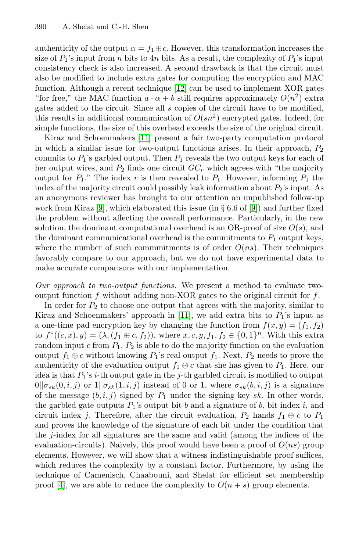authenticity of the output  $\alpha = f_1 \oplus c$ . However, this transformation increases the size of  $P_1$ ['s in](#page-18-3)put from n bits to 4n bits. As a result, the complexity of  $P_1$ 's input consistency check is also increased. A second drawback is that the circuit must also be modified to include extra gates for computing the encryption and MAC function. Although a recent technique [12] can be used to implement XOR gates "for free," the MAC function  $a \cdot \alpha + b$  still requires approximately  $O(n^2)$  extra gates added to the circuit. Since all s copies of the circuit have to be modified, this results in additional communication of  $O(sn^2)$  encrypted gates. Indeed, for simple functions, the size of this overhea[d e](#page-18-4)xceeds the size of the original circuit.

Kiraz and Schoenmakers [11] present a fair two-party computation protocol in which a similar issue for two-output functions arises. In their approach,  $P_2$ commits to  $P_1$ 's garbled output. Then  $P_1$  reveals the two output keys for each of her output wires, and  $P_2$  finds one circuit  $GC_r$  which agrees with "the majority output for  $P_1$ ." The index r is then revealed to  $P_1$ . However, informing  $P_1$  the index of the majority circuit could possibly leak information about  $P_2$ 's input. As an anonymous reviewer has brought to our attention an unpublished follow-up work from Kiraz [9], which elaborated this issue (in  $\S 6.6$  of [9]) and further fixed the problem without affecting the overall performance. Particularly, in the new solution, the dominant computational overhead is an OR-proof of size  $O(s)$ , and the dominant comm[unic](#page-18-3)ational overhead is the commitments to  $P_1$  output keys, where the number of such commmitments is of order  $O(ns)$ . Their techniques favorably compare to our approach, but we do not have experimental data to make accurate comparisons with our implementation.

*Our approach to two-output functions.* We present a method to evaluate twooutput function f without adding non-XOR gates to the original circuit for  $f$ .

In order for  $P_2$  to choose one output that agrees with the majority, similar to Kiraz and Schoenmakers' approach in [11], we add extra bits to  $P_1$ 's input as a one-time pad encryption key by changing the function from  $f(x, y) = (f_1, f_2)$ to  $f^*((c, x), y) = (\lambda, (f_1 \oplus c, f_2))$ , where  $x, c, y, f_1, f_2 \in \{0, 1\}^n$ . With this extra random input  $c$  from  $P_1$ ,  $P_2$  is able to do the majority function on the evaluation output  $f_1 \oplus c$  without knowing  $P_1$ 's real output  $f_1$ . Next,  $P_2$  needs to prove the authenticity of the evaluation output  $f_1 \oplus c$  that she has given to  $P_1$ . Here, our idea is that  $P_1$ 's *i*-th output gate in the *j*-th garbled circuit is modified to output  $0||\sigma_{sk}(0, i, j)$  or  $1||\sigma_{sk}(1, i, j)$  instead of 0 or 1, where  $\sigma_{sk}(b, i, j)$  is a signature of the message  $(b, i, j)$  signed by  $P_1$  under the signing key sk. In other words, the garbled gate outputs  $P_1$ 's output bit b and a signature of b, bit index i, and circuit index j. Therefore, after the circuit evaluation,  $P_2$  hands  $f_1 \oplus c$  to  $P_1$ and proves the knowledge of the signature of each bit under the condition that the j-index for all signatures are the same and valid (among the indices of the evaluation-circuits). Naively, this proof would have been a proof of  $O(ns)$  group elements. However, we will show that a witness indistinguishable proof suffices, which reduces the complexity by a constant factor. Furthermore, by using the technique of Camenisch, Chaabouni, and Shelat for efficient set membership proof [4], we are able to reduce the complexity to  $O(n+s)$  group elements.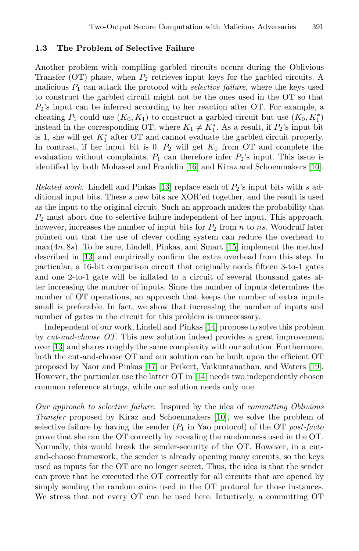## **1.3 The Problem of Selective Failure**

Another problem with compiling garbled circuits occurs during the Oblivious Transfer (OT) phase, when  $P_2$  retrieves input keys for the garbled circuits. A malicious  $P_1$  can attac[k th](#page-18-5)e protocol with *selective failure*[, w](#page-18-6)here the keys used to construct the garbled circuit might not be the ones used in the OT so that  $P_2$ 's input can [be](#page-18-1) inferred according to her reaction after OT. For example, a cheating  $P_1$  could use  $(K_0, K_1)$  to construct a garbled circuit but use  $(K_0, K_1^*)$ <br>instead in the corresponding OT, where  $K_1 \neq K^*$ , As a result, if  $P_2$ 's input bit instead in the corresponding OT, where  $K_1 \neq K_1^*$ . As a result, if  $P_2$ 's input bit<br>is 1 she will get  $K^*$  after OT and cannot evaluate the garbled circuit properly is 1, she will get  $K_1^*$  after OT and cannot evaluate the garbled circuit properly.<br>In contrast, if her input bit is 0.  $P_2$  will get  $K_2$  from OT and complete the In contrast, if her input bit is 0,  $P_2$  will get  $K_0$  from OT and complete the evaluation without complaints.  $P_1$  can therefore infer  $P_2$ 's input. This issue is identified by both Mohassel and [Fran](#page-18-7)klin [16] and Kiraz and Schoenmakers [10].

*Related work.* Lindell and Pinkas [13] replace each of  $P_2$ 's input bits with s additional input bits. These s new bits are XOR'ed together, and the result is used as the input to the original circuit. Such an approach makes the probability that  $P_2$  must abort due to selective failure independent of her input. This approach, however, increases the number of input bits for  $P_2$  from n to ns. Woodruff later pointed out that the use of clever coding system can reduce the overhead to  $max(4n, 8s)$ . To be sure, Li[ndel](#page-18-8)l, Pinkas, and Smart [15] implement the method described in [13] and empirically confirm the extra overhead from this step. In particular, a 16-bit comparison circuit that originally needs fifteen 3-to-1 gates and one 2-to-1 gate will be inflated to a circuit of several thousand gates after increasi[ng t](#page-18-9)he number of inputs. Since the number o[f in](#page-18-10)puts determines the number of OT operation[s, a](#page-18-8)n approach that keeps the number of extra inputs small is preferable. In fact, we show that increasing the number of inputs and number of gates in the circuit for this problem is unnecessary.

Independent of our work, Lindell and Pinkas [14] propose to solve this problem by *cut-and-choose OT*. This n[ew](#page-18-6) solution indeed provides a great improvement over [13] and shares roughly the same complexity with our solution. Furthermore, both the cut-and-choose OT and our solution can be built upon the efficient OT proposed by Naor and Pinkas [17] or Peikert, Vaikuntanathan, and Waters [19]. However, the particular use the latter OT in [14] needs two independently chosen common reference strings, while our solution needs only one.

*Our approach to selective failure.* Inspired by the idea of *committing Oblivious Transfer* proposed by Kiraz and Schoenmakers [10], we solve the problem of selective failure by having the sender  $(P_1$  in Yao protocol) of the OT *post-facto* prove that she ran the OT correctly by revealing the randomness used in the OT. Normally, this would break the sender-security of the OT. However, in a cutand-choose framework, the sender is already opening many circuits, so the keys used as inputs for the OT are no longer secret. Thus, the idea is that the sender can prove that he executed the OT correctly for all circuits that are opened by simply sending the random coins used in the OT protocol for those instances. We stress that not every OT can be used here. Intuitively, a committing OT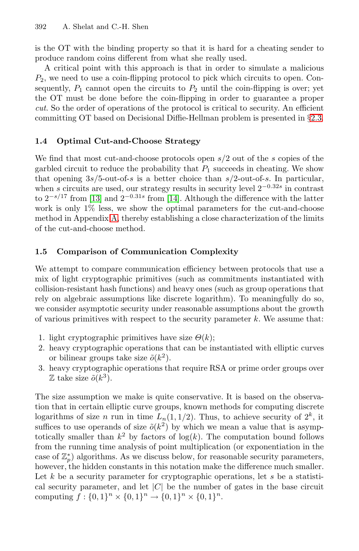is the OT with the binding property so that it is hard f[or](#page-11-0) [a](#page-11-0) cheating sender to produce random coins different from what she really used.

A critical point with this approach is that in order to simulate a malicious  $P_2$ , we need to use a coin-flipping protocol to pick which circuits to open. Consequently,  $P_1$  cannot open the circuits to  $P_2$  until the coin-flipping is over; yet the OT must be done before the coin-flipping in order to guarantee a proper *cut*. So the order of operations of the protocol is critical to security. An efficient committing OT b[ase](#page-18-8)d on Decisional Diffie-Hellman problem is presented in §2.3.

## **1[.4](#page-19-2) Optimal Cut-and-Choose Strategy**

We find that most cut-and-choose protocols open  $s/2$  out of the s copies of the garbled circuit to reduce the probability that  $P_1$  succeeds in cheating. We show that opening  $3s/5$ -out-of-s is a better choice than  $s/2$ -out-of-s. In particular, when s circuits are used, our strategy results in security level  $2^{-0.32s}$  in contrast to  $2^{-s/17}$  from [13] and  $2^{-0.31s}$  from [14]. Although the difference with the latter work is only 1% less, we show the optimal parameters for the cut-and-choose method in Appendix A, thereby establishing a close characterization of the limits of the cut-and-choose method.

## **1.5 Comparison of Communication Complexity**

We attempt to compare communication efficiency between protocols that use a mix of light cryptographic primitives (such as commitments instantiated with collision-resistant hash functions) and heavy ones (such as group operations that rely on algebraic assumptions like discrete logarithm). To meaningfully do so, we consider asymptotic security under reasonable assumptions about the growth of various primitives with respect to the security parameter  $k$ . We assume that:

- 1. light cryptographic primitives have size  $\Theta(k)$ ;
- 2. heavy cryptographic operations that can be instantiated with elliptic curves or bilinear groups take size  $\tilde{o}(k^2)$ .
- 3. heavy cryptographic operations that require RSA or prime order groups over  $\mathbb Z$  take size  $\tilde{o}(k^3)$ .

The size assumption we make is quite conservative. It is based on the observation that in certain elliptic curve groups, known methods for computing discrete logarithms of size *n* run in time  $L_n(1, 1/2)$ . Thus, to achieve security of  $2^k$ , it suffices to use operands of size  $\tilde{o}(k^2)$  by which we mean a value that is asymptotically smaller than  $k^2$  by factors of log(k). The computation bound follows from the running time analysis of point multiplication (or exponentiation in the case of  $\mathbb{Z}_p^*$ ) algorithms. As we discuss below, for reasonable security parameters, however, the hidden constants in this notation make the difference much smaller. Let  $k$  be a security parameter for cryptographic operations, let  $s$  be a statistical security parameter, and let  $|C|$  be the number of gates in the base circuit computing  $f : \{0,1\}^n \times \{0,1\}^n \rightarrow \{0,1\}^n \times \{0,1\}^n$ .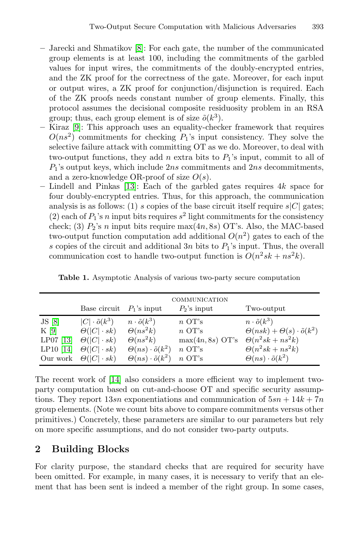- **–** Jarecki and Shmatikov [8]: For each gate, the number of the communicated group elements is at least 100, including the commitments of the garbled values for input wires, the commitments of the doubly-encrypted entries, and the ZK proof for the correctness of the gate. Moreover, for each input or output wires, a ZK proof for conjunction/disjunction is required. Each of the ZK proofs needs constant number of group elements. Finally, this p[roto](#page-18-1)col assumes the decisional composite residuosity problem in an RSA group; thus, each group element is of size  $\tilde{o}(k^3)$ .
- **–** Kiraz [9]: This approach uses an equality-checker framework that requires  $O(n s^2)$  commitments for checking  $P_1$ 's input consistency. They solve the selective failure attack with committing OT as we do. Moreover, to deal with two-output functions, they add n extra bits to  $P_1$ 's input, commit to all of  $P_1$ 's output keys, which include  $2ns$  commitments and  $2ns$  decommitments, and a zero-knowledge OR-proof of size  $O(s)$ .
- **–** Lindell and Pinkas [13]: Each of the garbled gates requires 4k space for four doubly-encrypted entries. Thus, for this approach, the communication analysis is as follows: (1) s copies of the base circuit itself require  $s|C|$  gates; (2) each of  $P_1$ 's n input bits requires  $s^2$  light commitments for the consistency check; (3)  $P_2$ 's *n* input bits require max $(4n, 8s)$  OT's. Also, the MAC-based two-output function computation add additional  $O(n^2)$  gates to each of the s copies of the circuit and additional  $3n$  bits to  $P_1$ 's input. Thus, the overall communication cost to handle two-output function is  $O(n^2sk + ns^2k)$ .

|                                           | Base circuit $P_1$ 's input                                                                                                                 |                                                                                                                                          | COMMUNICATION<br>$P_2$ 's input                                                                    | Two-output                                                                                                                                                        |
|-------------------------------------------|---------------------------------------------------------------------------------------------------------------------------------------------|------------------------------------------------------------------------------------------------------------------------------------------|----------------------------------------------------------------------------------------------------|-------------------------------------------------------------------------------------------------------------------------------------------------------------------|
| JS[8]<br>K[9]<br>$LP07$ [13]<br>LP10 [14] | $ C  \cdot \tilde{o}(k^3)$<br>$\Theta( C  \cdot sk)$<br>$\Theta( C  \cdot sk)$<br>$\Theta( C  \cdot sk)$<br>Our work $\Theta( C  \cdot sk)$ | $n \cdot \tilde{o}(k^3)$<br>$\Theta(ns^2k)$<br>$\Theta(ns^2k)$<br>$\Theta(ns) \cdot \tilde{o}(k^2)$<br>$\Theta(ns) \cdot \tilde{o}(k^2)$ | $n \text{ OT's}$<br>$n \text{ OT's}$<br>$max(4n, 8s)$ OT's<br>$n \text{ OT's}$<br>$n \text{ OT's}$ | $n \cdot \tilde{o}(k^3)$<br>$\Theta(nsk) + \Theta(s) \cdot \tilde{o}(k^2)$<br>$\Theta(n^2sk+ns^2k)$<br>$\Theta(n^2sk+ns^2k)$<br>$\Theta(ns) \cdot \tilde{o}(k^2)$ |

**Table 1.** Asymptotic Analysis of various two-party secure computation

The recent work of [14] also considers a more efficient way to implement twoparty computation based on cut-and-choose OT and specific security assumptions. They report  $13sn$  exponentiations and communication of  $5sn + 14k + 7n$ group elements. (Note we count bits above to compare commitments versus other primitives.) Concretely, these parameters are similar to our parameters but rely on more specific assumptions, and do not consider two-party outputs.

# **2 Building Blocks**

For clarity purpose, the standard checks that are required for security have been omitted. For example, in many cases, it is necessary to verify that an element that has been sent is indeed a member of the right group. In some cases,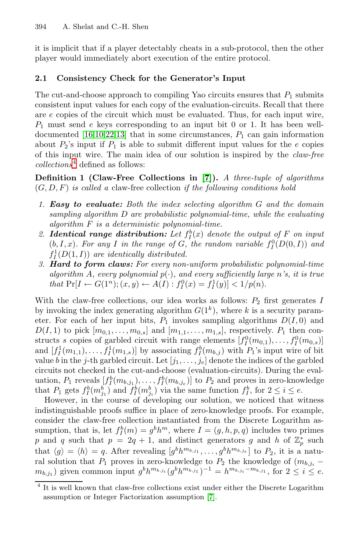it is implicit that if a player detectably cheats in a sub-protocol, then the other [pla](#page-19-1)[yer](#page-18-1) would immediately abort execution of the entire protocol.

#### **2.1 Consistency Check for the Generator's Input**

The cut-and-choose approach to compiling Yao circuits ensures that  $P_1$  submits consistent input values for [eac](#page-18-11)h copy of the evaluation-circuits. Recall that there are  $e$  copies of the circuit which must be evaluated. Thus, for each input wire,  $P_1$  must send e keys corresponding to an input bit 0 or 1. It has been welldocumented  $[16,10,22,13]$  that in some circumstances,  $P_1$  can gain information about  $P_2$ 's input if  $P_1$  is able to submit different input values for the e copies of this input wire. The main idea of our solution is inspired by the *claw-free collections*<sup>4</sup> defined as follows:

**Definition 1 (Claw-Free Collections in [7]).** *A three-tuple of algorithms* (G, D, F) *is called a* claw-free collection *if the following conditions hold*

- *1. Easy to evaluate: Both the index selecting algorithm* G *and the domain sampling algorithm* D *are probabilistic polynomial-time, while the evaluating algorithm* F *is a deterministic polynomial-time.*
- 2. *Identical range distribution: Let*  $f_I^b(x)$  *denote the output of*  $F$  *on input*  $(b \mid x)$ . *For any L in the range of*  $G$  *the random variable*  $f^0(D(0, I))$  *and*  $(b, I, x)$ *. For any* I in the range of G, the random variable  $f_I^0(D(0, I))$  and  $f^1(D(1, I))$  *are identically distributed*  $f_I^1(D(1,I))$  are identically distributed.<br>**Hard to form claus:** For every non-
- *3. Hard to form claws: For every non-uniform probabilistic polynomial-time algorithm* A, every polynomial  $p(\cdot)$ , and every sufficiently large n's, it is true *that*  $\Pr[I \leftarrow G(1^n); (x, y) \leftarrow A(I) : f_I^0(x) = f_I^1(y)] < 1/p(n)$ .

With the claw-free collections, our idea works as follows:  $P_2$  first generates I by invoking the index generating algorithm  $G(1<sup>k</sup>)$ , where k is a security parameter. For each of her input bits,  $P_1$  invokes sampling algorithms  $D(I, 0)$  and  $D(I, 1)$  to pick  $[m_{0,1}, \ldots, m_{0,s}]$  and  $[m_{1,1}, \ldots, m_{1,s}]$ , respectively.  $P_1$  then constructs s copies of garbled circuit with range elements  $[f_1^0(m_{0,1}),...,f_1^0(m_{0,s})]$ <br>and  $[f_1^1(m_{s,1}),...,f_1^1(m_{s,1})]$  by associating  $f_0^b(m_{s,1})$  with  $P_s$ 's input wire of bit and  $[f_1^1(m_{1,1}),...,f_1^1(m_{1,s})]$  by associating  $f_2^b(m_{b,j})$  with  $P_1$ 's input wire of bit<br>value hin the *i*-th garbled circuit. Let  $[i, j]$  denote the indices of the garbled value b in the j-th garbled circuit. Let  $[j_1,\ldots,j_e]$  denote the indices of the garbled circuits not checked in the cut-and-choose (evaluation-circuits). During the evaluation,  $P_1$  reveals  $[f^b_l(m_{b,j_1}),...,f^b_l(m_{b,j_e})]$  to  $P_2$  and proves in zero-knowledge<br>that  $P_2$  gats  $f^b(m^b)$  and  $f^b(m^b)$  via the same function  $f^b$  for  $2 \le i \le e$ that  $P_1$  gets  $f_I^b(m_{j_1}^b)$  and  $f_I^b(m_{j_2}^b)$  via the same function  $f_I^b$ , for  $2 \le i \le e$ .<br>However in the course of developing our solution we noticed that we

However, in the course of developing our solution, we noticed that witness indistinguishable proofs suffice in place of zero-knowledge proofs. For example, consider the claw-free collec[tio](#page-18-11)n instantiated from the Discrete Logarithm assumption, that is, let  $f_p^b(m) = g^b h^m$ , where  $I = (g, h, p, q)$  includes two primes <br> a such that  $n - 2g + 1$  and distinct generators g and h of  $\mathbb{Z}^*$  such p and q such that  $p = 2q + 1$ , and distinct generators g and h of  $\mathbb{Z}_p^*$  such that  $\langle \alpha \rangle = \langle h \rangle = g$ . After revealing  $\lceil \alpha h m h \rceil$ ,  $\alpha h m h$  is the p it is a nature that  $\langle g \rangle = \langle h \rangle = q$ . After revealing  $[g^b h^{m_{b,j_1}}, \dots, g^b h^{m_{b,j_e}}]$  to  $P_2$ , it is a natural solution that  $P_1$  proves in zero-knowledge to  $P_2$  the knowledge of  $(m, \cdot)$ ral solution that  $P_1$  proves in zero-knowledge to  $P_2$  the knowledge of  $(m_{b,j_i} - m_{b,i_i})$  given common input  $a^b h^{m_{b,j_i}} (a^b h^{m_{b,j_i}})^{-1} = h^{m_{b,j_i} - m_{b,j_i}}$  for  $2 \le i \le e$  $\sum_{j=0}^{m_{b,j_1}}$  given common input  $g^b h^{m_{b,j_i}} (g^b h^{m_{b,j_1}})^{-1} = h^{m_{b,j_i} - m_{b,j_1}}$ , for  $2 \le i \le e$ .

 $\overline{4}$  It is well known that claw-free collections exist under either the Discrete Logarithm assumption or Integer Factorization assumption [7].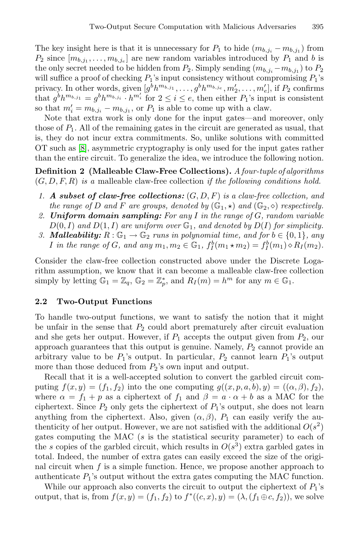The key insight here is that it is unnecessary for  $P_1$  to hide  $(m_{b,j_i} - m_{b,j_1})$  from  $P_2$  since  $[m_{b,j_1},\ldots,m_{b,j_e}]$  are new random variables introduced by  $P_1$  and b is the only secret needed to be hidden from  $P_2$ . Simply sending  $(m_{b,j_i} - m_{b,j_1})$  to  $P_2$ will suffice a proof of checking  $P_1$ 's input consistency without compromising  $P_1$ 's privacy. In other words, given  $[g^b h^{m_{b,j_1}}, \ldots, g^b h^{m_{b,j_e}}, m'_2, \ldots, m'_e]$ , if  $P_2$  confirms<br>that  $a^b h^{m_{b,j_1}} = a^b h^{m_{b,j_i}}$ ,  $h^{m'_i}$  for  $2 \le i \le e$ , then either  $P_i$ 's input is consistent that  $g^b h^{m_{b,j_1}} = g^b h^{m_{b,j_i}} \cdot h^{m'_i}$  for  $2 \le i \le e$ , then either  $P_1$ 's input is consistent so that  $m' = m_{i,j} = m_{i,j}$  or  $P_i$  is able to come up with a claw. so that  $m'_i = m_{b,j_i} - m_{b,j_1}$ , or  $P_1$  is able to come up with a claw.<br>Note that extra work is only done for the input gates—and is

Note that extra work is only done for the input gates—and moreover, only those of  $P_1$ . All of the remaining gates in the circuit are generated as usual, that is, they do not incur extra commitments. So, unlike solutions with committed OT such as [8], asymmetric cryptography is only used for the input gates rather than the entire circuit. To generalize the idea, we introduce the following notion.

**Definition 2 (Malleable Claw-Free Collections).** *A four-tuple of algorithms* (G, D, F, R) *is a* malleable claw-free collection *if the following conditions hold.*

- *1. A subset of claw-free collections:* (G, D, F) *is a claw-free collection, and the range of* D *and* F *are groups, denoted by*  $(\mathbb{G}_1, \star)$  *and*  $(\mathbb{G}_2, \diamond)$  *respectively.*<br>*Initorm domain sampling: For any L in the range of G random variable*
- *2. Uniform domain sampling: For any* I *in the range of* G*, random variable*  $D(0, I)$  and  $D(1, I)$  are uniform over  $\mathbb{G}_1$ , and denoted by  $D(I)$  for simplicity.
- *3. Malleability:*  $R: \mathbb{G}_1 \to \mathbb{G}_2$  *runs in polynomial time, and for*  $b \in \{0, 1\}$ *, any I* in the range of *G*, and any  $m_1, m_2 \in \mathbb{G}_1$ ,  $f_I^b(m_1 \star m_2) = f_I^b(m_1) \circ R_I(m_2)$ .

Consider the claw-free collection constructed above under the Discrete Logarithm assumption, we know that it can become a malleable claw-free collection simply by letting  $\mathbb{G}_1 = \mathbb{Z}_q$ ,  $\mathbb{G}_2 = \mathbb{Z}_p^*$ , and  $R_I(m) = h^m$  for any  $m \in \mathbb{G}_1$ .

## **2.2 Two-Output Functions**

To handle two-output functions, we want to satisfy the notion that it might be unfair in the sense that  $P_2$  could abort prematurely after circuit evaluation and she gets her output. However, if  $P_1$  accepts the output given from  $P_2$ , our approach guarantees that this output is genuine. Namely,  $P_2$  cannot provide an arbitrary value to be  $P_1$ 's output. In particular,  $P_2$  cannot learn  $P_1$ 's output more than those deduced from  $P_2$ 's own input and output.

Recall that it is a well-accepted solution to convert the garbled circuit computing  $f(x, y) = (f_1, f_2)$  into the one computing  $g((x, p, a, b), y) = ((\alpha, \beta), f_2),$ where  $\alpha = f_1 + p$  as a ciphertext of  $f_1$  and  $\beta = a \cdot \alpha + b$  as a MAC for the ciphertext. Since  $P_2$  only gets the ciphertext of  $P_1$ 's output, she does not learn anything from the ciphertext. Also, given  $(\alpha, \beta)$ ,  $P_1$  can easily verify the authenticity of her output. However, we are not satisfied with the additional  $O(s^2)$ gates computing the MAC  $(s$  is the statistical security parameter) to each of the s copies of the garbled circuit, which results in  $O(s^3)$  extra garbled gates in total. Indeed, the number of extra gates can easily exceed the size of the original circuit when  $f$  is a simple function. Hence, we propose another approach to authenticate  $P_1$ 's output without the extra gates computing the MAC function.

While our approach also converts the circuit to output the ciphertext of  $P_1$ 's output, that is, from  $f(x, y)=(f_1, f_2)$  to  $f^*((c, x), y)=(\lambda, (f_1 \oplus c, f_2))$ , we solve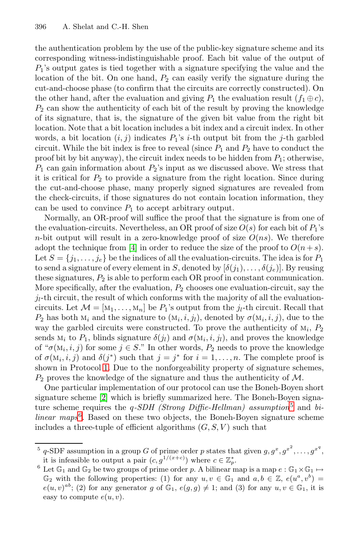the authentication problem by the use of the public-key signature scheme and its corresponding witness-indistinguishable proof. Each bit value of the output of  $P_1$ 's output gates is tied together with a signature specifying the value and the location of the bit. On one hand,  $P_2$  can easily verify the signature during the cut-and-choose phase (to confirm that the circuits are correctly constructed). On the other hand, after the evaluation and giving  $P_1$  the evaluation result  $(f_1 \oplus c)$ ,  $P_2$  can show the authenticity of each bit of the result by proving the knowledge of its signature, that is, the signature of the given bit value from the right bit location. Note that a bit location includes a bit index and a circuit index. In other words, a bit location  $(i, j)$  indicates  $P_1$ 's *i*-th output bit from the *j*-th garbled circuit. While the bit index is free to reveal (since  $P_1$  and  $P_2$  have to conduct the proof bit by bit anyway), the circuit index needs to be hidden from  $P_1$ ; otherwise,  $P_1$  can [ga](#page-18-12)in information about  $P_2$ 's input as we discussed above. We stress that it is critical for  $P_2$  to provide a signature from the right location. Since during the cut-and-choose phase, many properly signed signatures are revealed from the check-circuits, if those signatures do not contain location information, they can be used to convince  $P_1$  to accept arbitrary output.

Normally, an OR-proof will suffice the proof that the signature is from one of the evaluation-circuits. Nevertheless, an OR proof of size  $O(s)$  for each bit of  $P_1$ 's n-bit output will result in a zero-knowledge proof of size  $O(ns)$ . We therefore adopt the technique from [4] in order to reduce the size of the proof to  $O(n+s)$ . Let  $S = \{j_1, \ldots, j_e\}$  be the indices of all the evaluation-circuits. The idea is for  $P_1$ to send a signature of every element in S, denoted by  $[\delta(j_1),\ldots,\delta(j_e)]$ . By reusing these signatures,  $P_2$  is able to perform each OR proof in constant communication. [M](#page-11-1)ore specifically, after the evaluation,  $P_2$  chooses one evaluation-circuit, say the  $j_l$ -th circuit, the result of which conforms with the majority of all the evaluationcircuits. Let  $\mathcal{M} = [\mathbf{M}_1, \dots, \mathbf{M}_n]$  be  $P_1$ 's output from the  $j_l$ -th circuit. Recall that  $P_2$  $P_2$  has both  $M_i$  and the signature to  $(M_i, i, j_l)$ , denoted by  $\sigma(M_i, i, j)$ , due to the way the garbled circuits were constructed. To pro[ve](#page-10-0) the authenticity of  $M_i$ ,  $P_2$ sends  $M_i$  to  $P_1$ , blinds signature  $\delta(j_l)$  and  $\sigma(M_i, i, j_l)$ , and proves the knowledge of " $\sigma(M_i, i, j)$  for some  $j \in S$ ." In other words,  $P_2$  needs to prove the knowledge of  $\sigma(M_i, i, j)$  and  $\delta(j^*)$  such that  $j = j^*$  for  $i = 1, \ldots, n$ . The complete proof is shown in Protocol 1. Due to the nonforgeability property of signature schemes,  $P_2$  proves the knowledge of the signature and thus the authenticity of M.

<span id="page-10-0"></span>One particular implementation of our protocol can use the Boneh-Boyen short signature scheme [2] which is briefly summarized here. The Boneh-Boyen signature scheme requires the *q-SDH (Strong Diffie-Hellman)* assumption<sup>5</sup> and *bilinear maps*<sup>6</sup>. Based on these two objects, the Boneh-Boyen signature scheme includes a three-tuple of efficient algorithms  $(G, S, V)$  such that

<sup>&</sup>lt;sup>5</sup> q-SDF assumption in a group G of prime order p states that given  $g, g^x, g^{x^2}, \ldots, g^{x^q}$ , it is infeasible to output a pair  $(c, g^{1/(x+c)})$  where  $c \in \mathbb{Z}^*$ it is infeasible to output a pair  $(c, g^{1/(x+c)})$  where  $c \in \mathbb{Z}_p^*$ <br>Let  $\mathbb{C}_p$  and  $\mathbb{C}_p$  be two groups of prime order n. A bilinear

<sup>&</sup>lt;sup>6</sup> Let  $\mathbb{G}_1$  and  $\mathbb{G}_2$  be two groups of prime order p. A bilinear map is a map  $e : \mathbb{G}_1 \times \mathbb{G}_1 \mapsto$  $\mathbb{G}_2$  with the following properties: (1) for any  $u, v \in \mathbb{G}_1$  and  $a, b \in \mathbb{Z}$ ,  $e(u^a, v^b) =$ <br> $e(u, v)^{ab}$ , (2) for any generator  $a$  of  $\mathbb{G}_2$ ,  $e(a, a) \neq 1$ ; and (3) for any  $u, v \in \mathbb{G}_2$ , it is  $e(u, v)^{ab}$ ; (2) for any generator g of  $\mathbb{G}_1$ ,  $e(g, g) \neq 1$ ; and (3) for any  $u, v \in \mathbb{G}_1$ , it is easy to compute  $e(u, v)$ .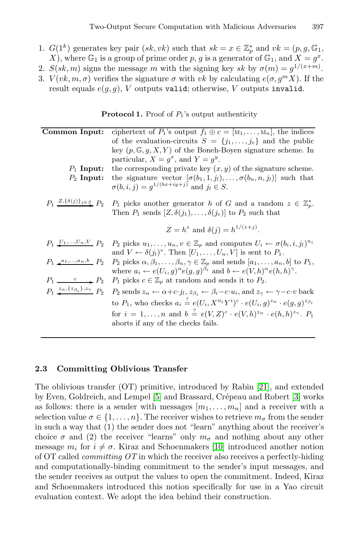- <span id="page-11-1"></span>1.  $G(1^k)$  generates key pair  $(sk, vk)$  such that  $sk = x \in \mathbb{Z}_p^*$  and  $vk = (p, g, \mathbb{G}_1, \mathbb{G})$ <br>
X) where  $\mathbb{G}_v$  is a group of prime order n a is a generator of  $\mathbb{G}_v$  and  $X = \sigma^x$ X), where  $\mathbb{G}_1$  is a group of prime order p, g is a generator of  $\mathbb{G}_1$ , and  $X = g^x$ .
- 2.  $S(sk, m)$  signs the message m with the signing key sk by  $\sigma(m) = g^{1/(x+m)}$ .<br>3.  $V(nk, m, \sigma)$  verifies the signature  $\sigma$  with *uk* by calculating  $e(\sigma, \sigma^m X)$ . If the
- 3.  $V(vk, m, \sigma)$  verifies the signature  $\sigma$  with vk by calculating  $e(\sigma, g^m X)$ . If the result equals  $e(g, g)$ , V outputs valid; otherwise, V outputs invalid.

**Protocol 1.** Proof of  $P_1$ 's output authenticity

| Common Input:                                                               | ciphertext of $P_1$ 's output $f_1 \oplus c = [M_1, \ldots, M_n]$ , the indices                                                                                                                                                                          |
|-----------------------------------------------------------------------------|----------------------------------------------------------------------------------------------------------------------------------------------------------------------------------------------------------------------------------------------------------|
|                                                                             | of the evaluation-circuits $S = \{j_1, \ldots, j_e\}$ and the public                                                                                                                                                                                     |
|                                                                             | key $(p, \mathbb{G}, g, X, Y)$ of the Boneh-Boyen signature scheme. In                                                                                                                                                                                   |
|                                                                             | particular, $X = g^x$ , and $Y = g^y$ .                                                                                                                                                                                                                  |
| $P_1$ Input:                                                                | the corresponding private key $(x, y)$ of the signature scheme.                                                                                                                                                                                          |
| $P_2$ Input:                                                                | the signature vector $[\sigma(b_1, 1, j_1), \ldots, \sigma(b_n, n, j_l)]$ such that<br>$\sigma(b, i, j) = g^{1/(bx + iy + j)}$ and $j_l \in S$ .                                                                                                         |
| $P_1 \stackrel{Z,\{\delta(j)\}_{j\in S}}{\longrightarrow} P_2$              | $P_1$ picks another generator h of G and a random $z \in \mathbb{Z}_p^*$ .<br>Then $P_1$ sends $[Z, \delta(j_1), \ldots, \delta(j_e)]$ to $P_2$ such that                                                                                                |
|                                                                             | $Z = h^z$ and $\delta(i) = h^{1/(z+j)}$ .                                                                                                                                                                                                                |
|                                                                             | $P_1 \downarrow_{1}, \ldots, U_n, V \downarrow_{n} P_2$ $P_2$ picks $u_1, \ldots, u_n, v \in \mathbb{Z}_p$ and computes $U_i \leftarrow \sigma(b_i, i, j_i)^{u_i}$<br>and $V \leftarrow \delta(j_l)^v$ . Then $[U_1, \ldots, U_n, V]$ is sent to $P_1$ . |
| $P_1$ $a_1,,a_n,b$ $P_2$                                                    | $P_2$ picks $\alpha, \beta_1, \ldots, \beta_n, \gamma \in \mathbb{Z}_p$ and sends $[a_1, \ldots, a_n, b]$ to $P_1$ ,<br>where $a_i \leftarrow e(U_i, g)^\alpha e(g, g)^{\beta_i}$ and $b \leftarrow e(V, h)^\alpha e(h, h)^\gamma$ .                     |
| $P_1 \longrightarrow^c P_2$                                                 | $P_1$ picks $c \in \mathbb{Z}_p$ at random and sends it to $P_2$ .                                                                                                                                                                                       |
| $P_1 \stackrel{z_{\alpha},\{z_{\beta_i}\},z_{\gamma}}{\longrightarrow} P_2$ | $P_2$ sends $z_{\alpha} \leftarrow \alpha + c \cdot j_l$ , $z_{\beta_i} \leftarrow \beta_i - c \cdot u_i$ , and $z_{\gamma} \leftarrow \gamma - c \cdot v$ back                                                                                          |
|                                                                             | to $P_1$ , who checks $a_i \stackrel{?}{=} e(U_i, X^{\mathcal{M}_i} Y^i)^c \cdot e(U_i, q)^{z_{\alpha}} \cdot e(g, q)^{z_{\beta_i}}$                                                                                                                     |
|                                                                             | for $i = 1, , n$ and $b = e(V, Z)^c \cdot e(V, h)^{z_{\alpha}} \cdot e(h, h)^{z_{\gamma}}$ . $P_1$                                                                                                                                                       |
|                                                                             | aborts if any of the checks fails.                                                                                                                                                                                                                       |
|                                                                             |                                                                                                                                                                                                                                                          |

# <span id="page-11-0"></span>**2.3 Committing Oblivio[us T](#page-18-6)ransfer**

The oblivious transfer (OT) primitive, introduced by Rabin [21], and extended by Even, Goldreich, and Lempel [5] and Brassard, Crépeau and Robert [3] works as follows: there is a sender with messages  $[m_1, \ldots, m_n]$  and a receiver with a selection value  $\sigma \in \{1,\ldots,n\}$ . The receiver wishes to retrieve  $m_{\sigma}$  from the sender in such a way that (1) the sender does not "learn" anything about the receiver's choice  $\sigma$  and (2) the receiver "learns" only  $m_{\sigma}$  and nothing about any other message  $m_i$  for  $i \neq \sigma$ . Kiraz and Schoenmakers [10] introduced another notion of OT called *committing OT* in which the receiver also receives a perfectly-hiding and computationally-binding commitment to the sender's input messages, and the sender receives as output the values to open the commitment. Indeed, Kiraz and Schoenmakers introduced this notion specifically for use in a Yao circuit evaluation context. We adopt the idea behind their construction.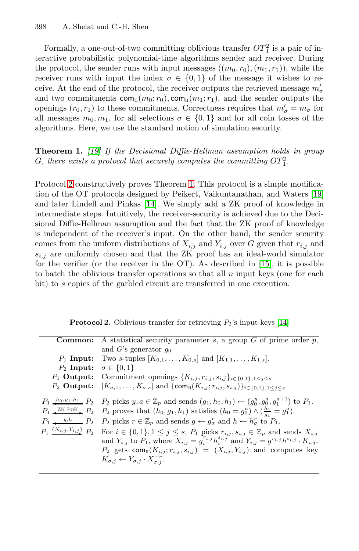<span id="page-12-0"></span>Formally, a one-out-of-two committing oblivious transfer  $OT_1^2$  is a pair of in-<br>ractive probabilistic polynomial-time algorithms sender and receiver. During teractive probabilistic polynomial-time algorithms sender and receiver. During the protocol, the sender runs with input messages  $((m_0, r_0), (m_1, r_1))$ , while the receiver runs with input the index  $\sigma \in \{0,1\}$  of the message it wishes to receive. At the end of the protocol, the receiver outputs the retrieved message  $m'_{\sigma}$ <br>and two commitments com  $(m_0; r_0)$  com  $(m_1; r_1)$  and the sender outputs the and two commitments  $com_H(m_0; r_0)$ ,  $com_H(m_1; r_1)$ , and the sender outputs the openings  $(r_0, r_1)$  to the[se](#page-12-0) commitments. Correctness requires that  $m'_{\sigma} = m_{\sigma}$  for all messages  $m_2, m_3$  for all selections  $\sigma \in \{0, 1\}$  and for all coin tosses of the all messages  $m_0, m_1$ , fo[r al](#page-18-10)l selections  $\sigma \in \{0, 1\}$  and for all coin tosses of the algorithms. [He](#page-18-8)re, we use the standard notion of simulation security.

**Theorem 1.** *[19] If the Decisional Diffie-Hellman assumption holds in group*  $G$ , there exists a protocol that securely computes the committing  $OT_1^2$ .

Protocol 2 constructively proves Theorem [1. T](#page-18-7)his protocol is a simple modification of the OT protocols designed by Peikert, Vaikuntanathan, and Waters [19] and later Lindell and Pinkas [14]. We simply add a ZK proof of knowledge in intermediate steps. Intuitively, the receiver-security is achieved due to the Decisional Diffie-Hellman assumption and the fact that the ZK proof of knowledge is independent of the receiver's input. On the other hand, the sender security comes from the uniform [d](#page-18-8)istributions of  $X_{i,j}$  and  $Y_{i,j}$  over G given that  $r_{i,j}$  and  $s_{i,j}$  are uniformly chosen and that the ZK proof has an ideal-world simulator for the verifier (or the receiver in the OT). As described in [15], it is possible to batch the oblivious transfer operations so that all  $n$  input keys (one for each bit) to s copies of the garbled circuit are transferred in one execution.

**Protocol 2.** Oblivious transfer for retrieving  $P_2$ 's input keys [14]

|              | <b>Common:</b> A statistical security parameter s, a group $G$ of prime order $p$ ,                                                                                                                                                                                                                                                                                                                                                                                                                                                                                                                                                                                                                                                                                                                                                                                                                                         |
|--------------|-----------------------------------------------------------------------------------------------------------------------------------------------------------------------------------------------------------------------------------------------------------------------------------------------------------------------------------------------------------------------------------------------------------------------------------------------------------------------------------------------------------------------------------------------------------------------------------------------------------------------------------------------------------------------------------------------------------------------------------------------------------------------------------------------------------------------------------------------------------------------------------------------------------------------------|
|              | and G's generator $q_0$                                                                                                                                                                                                                                                                                                                                                                                                                                                                                                                                                                                                                                                                                                                                                                                                                                                                                                     |
|              | $P_1$ Input: Two s-tuples $[K_{0,1}, \ldots, K_{0,s}]$ and $[K_{1,1}, \ldots, K_{1,s}].$                                                                                                                                                                                                                                                                                                                                                                                                                                                                                                                                                                                                                                                                                                                                                                                                                                    |
| $P_2$ Input: | $\sigma \in \{0,1\}$                                                                                                                                                                                                                                                                                                                                                                                                                                                                                                                                                                                                                                                                                                                                                                                                                                                                                                        |
|              | $P_1$ Output: Commitment openings $\{K_{i,j}, r_{i,j}, s_{i,j}\}_{i \in \{0,1\}, 1 \leq j \leq s}$                                                                                                                                                                                                                                                                                                                                                                                                                                                                                                                                                                                                                                                                                                                                                                                                                          |
|              | $P_2$ Output: $[K_{\sigma,1},\ldots,K_{\sigma,s}]$ and $\{\text{com}_{\text{H}}(K_{i,j};r_{i,j},s_{i,j})\}_{i\in\{0,1\},1\leq i\leq s}$                                                                                                                                                                                                                                                                                                                                                                                                                                                                                                                                                                                                                                                                                                                                                                                     |
|              | $P_1 \xrightarrow{h_0,g_1,h_1} P_2$ $P_2$ picks $y, a \in \mathbb{Z}_p$ and sends $(g_1, h_0, h_1) \leftarrow (g_0^y, g_0^a, g_1^{a+1})$ to $P_1$ .<br>$P_1 \xrightarrow{\text{ZK PoK}} P_2$ $P_2$ proves that $(h_0, g_1, h_1)$ satisfies $(h_0 = g_0^a) \wedge (\frac{h_1}{g_1} = g_1^a)$ .<br>$P_1 \longrightarrow g,h \longrightarrow P_2$ picks $r \in \mathbb{Z}_p$ and sends $g \leftarrow g_{\sigma}^r$ and $h \leftarrow h_{\sigma}^r$ to $P_1$ .<br>$P_1 \xrightarrow{\{X_{i,j}, Y_{i,j}\}} P_2$ For $i \in \{0,1\}, 1 \le j \le s$ , $P_1$ picks $r_{i,j}, s_{i,j} \in \mathbb{Z}_p$ and sends $X_{i,j}$<br>and $Y_{i,j}$ to $P_1$ , where $X_{i,j} = g_i^{r_{i,j}} h_i^{s_{i,j}}$ and $Y_{i,j} = g^{r_{i,j}} h^{s_{i,j}} \cdot K_{i,j}$ .<br>$P_2$ gets com <sub>H</sub> $(K_{i,j}; r_{i,j}, s_{i,j}) = (X_{i,j}, Y_{i,j})$ and computes key<br>$K_{\sigma,j} \leftarrow Y_{\sigma,j} \cdot X_{\sigma,i}^{-r}.$ |
|              |                                                                                                                                                                                                                                                                                                                                                                                                                                                                                                                                                                                                                                                                                                                                                                                                                                                                                                                             |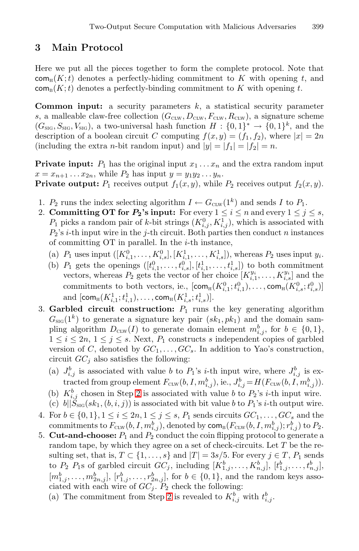# **3 Main Protocol**

Here we put all the pieces together to form the complete protocol. Note that  $\mathsf{com}_{\mathbb{H}}(K;t)$  denotes a perfectly-hiding commitment to K with opening t, and  $com_{B}(K; t)$  denotes a perfectly-binding commitment to K with opening t.

<span id="page-13-0"></span>**Common input:** a security parameters k, a statistical security parameter s, a malleable claw-free collection  $(G_{\text{CLW}}, D_{\text{CLW}}, F_{\text{CLW}}),$  a signature scheme  $(G_{\text{SIG}}, S_{\text{SIG}}, V_{\text{SIG}})$ , a two-universal hash function  $H : \{0,1\}^* \to \{0,1\}^k$ , and the description of a boolean circuit C computing  $f(x, y) = (f_1, f_2)$ , where  $|x| = 2n$ (including the extra *n*-bit random input) and  $|y| = |f_1| = |f_2| = n$ .

**Private input:**  $P_1$  has the original input  $x_1 \ldots x_n$  and the extra random input  $x = x_{n+1} \dots x_{2n}$ , while  $P_2$  has input  $y = y_1 y_2 \dots y_n$ .

**Private output:**  $P_1$  receives output  $f_1(x, y)$ , while  $P_2$  receives output  $f_2(x, y)$ .

- 1.  $P_2$  runs the index selecting algorithm  $I \leftarrow G_{\text{CLW}}(1^k)$  and sends I to  $P_1$ .
- 2. **Committing OT for**  $P_2$ **'s input:** For every  $1 \leq i \leq n$  and every  $1 \leq j \leq s$ ,  $P_1$  picks a random pair of k-bit strings  $(K_{i,j}^0, K_{i,j}^1)$ , which is associated with  $P_2$ 's *i*-th input wire in the *i*-th circuit. Both parties then conduct *n* instances  $P_2$ 's *i*-th input wire in the *j*-th circuit. Both parties then conduct *n* instances of committing  $\overline{OT}$  in parallel. In the *i*-th instance,
	- (a)  $P_1$  uses input  $([K_{i,1}^0, \ldots, K_{i,s}^0], [K_{i,1}^1, \ldots, K_{i,s}^1])$ , whereas  $P_2$  uses input  $y_i$ .<br>(b)  $P_i$  gate the opening  $([K_{i,1}^0, \ldots, K_{i,s}^0], [H_i]$   $[H_i]$  to both commitment
	- (b)  $P_1$  gets the openings  $([t_{i,1}^0, \ldots, t_{i,s}^0], [t_{i,1}^1, \ldots, t_{i,s}^1])$  to both commitment<br>vectors whereas  $P_2$  gets the vector of her choice  $[K^{y_i} \quad K^{y_i}]$  and the vectors, whereas  $P_2$  gets the vector of her choice  $[K_{i,1}^{y_i}, \ldots, K_{i,s}^{y_i}]$  and the commitments to both vectors, ie.,  $[com_{H}(K_{i,1}^{0}; t_{i,1}^{0}), ..., com_{H}(K_{i,s}^{0}; t_{i,s}^{0})]$ and  $[\text{com}_{H}(K_{i,1}^1;t_{i,1}^1),\ldots,\text{com}_{H}(K_{i,s}^1;t_{i,s}^1)].$
- 3. **Garbled circuit construction:**  $P_1$  runs the key generating algorithm  $G_{\text{SIG}}(1^k)$  $G_{\text{SIG}}(1^k)$  $G_{\text{SIG}}(1^k)$  to generate a signature key pair  $(sk_1, pk_1)$  and the domain sampling algorithm  $D_{\text{CLW}}(I)$  to generate domain element  $m_{i,j}^b$ , for  $b \in \{0,1\}$ ,<br> $1 \le i \le 2n, 1 \le i \le s$ . Next,  $P_s$  constructs s independent copies of garbled  $1 \leq i \leq 2n, 1 \leq j \leq s$ . Next,  $P_1$  constructs s independent copies of garbled version of C, denoted by  $GC_1, \ldots, GC_s$ . In addition to Yao's construction, circuit  $GC<sub>j</sub>$  also satisfies the following:
	- (a)  $J_{i,j}^b$  is associated with value b to  $P_1$ 's *i*-th input wire, where  $J_{i,j}^b$  is ex-<br>tracted from group element  $F_{i,j}$  (b  $I_{i}$  reb) is  $I_{i,j}^b$   $I_{i,j}^b$  (b  $I_{i,j}$  reb) tracted from group element  $F_{\text{CLW}}(b, I, m_{i,j}^b)$ , ie.,  $J_{i,j}^b = H(F_{\text{CLW}}(b, I, m_{i,j}^b))$ .<br>  $F_b^b$  chosen in Stap 2 is associated with value h to B is it highly wine.
	- (b)  $K_{i,j}^b$  chosen in Step 2 is associated with value b to  $P_2$ 's *i*-th input wire.<br>(c) bllS (ek. (b *i*)) is associated with bit value b to  $P_i$ 's *i*-th output wire.
	- (c)  $b||\tilde{S}_{\text{SIG}}(sk_1, (b, i, j))$  is associated with bit value b to  $P_1$ 's i-th output wire.
- 4. For  $b \in \{0,1\}, 1 \le i \le 2n, 1 \le j \le s$  $b \in \{0,1\}, 1 \le i \le 2n, 1 \le j \le s$  $b \in \{0,1\}, 1 \le i \le 2n, 1 \le j \le s$ ,  $P_1$  sends circuits  $GC_1, \ldots, GC_s$  and the commitments to  $F_{\text{true}}(b, I, m^b)$  denoted by  $com(F_{\text{true}}(b, I, m^b))$  is  $P_2$ commitments to  $F_{\text{CLW}}(b, I, m_{i,j}^b)$ , denoted by  $\text{com}_{B}(F_{\text{CLW}}(b, I, m_{i,j}^b); r_{i,j}^b)$  to  $P_2$ .<br>Cut-and-choose:  $P_2$  and  $P_2$  conduct the coin flipping protocol to generate a
- 5. **Cut-and-choose:**  $P_1$  and  $P_2$  conduct the coin flipping protocol to generate a random tape, by which they agree on a set of check-circuits. Let T be the resulting set, that is,  $T \subset \{1, \ldots, s\}$  and  $|T| = 3s/5$ . For every  $j \in T$ ,  $P_1$  sends to  $P_2$   $P_1$ s of garbled circuit  $GC_j$ , including  $[K_{1,j}^b, \ldots, K_{n,j}^b], [t_{1,j}^b, \ldots, t_{n,j}^b]$  $[m_{1,j}^b, \ldots, m_{2n,j}^b], [r_{1,j}^b, \ldots, r_{2n,j}^b],$  for  $b \in \{0,1\}$ , and the random keys asso-<br>ciated with each wire of  $GC$ . Be check the following: ciated with each wire of  $GC_i$ .  $P_2$  check the following:
	- (a) The commitment from Step 2 is revealed to  $K_{i,j}^b$  with  $t_{i,j}^b$ .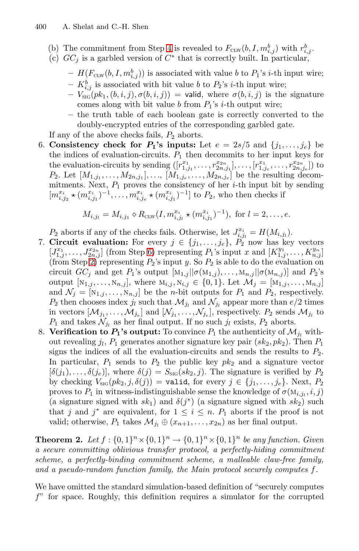- (b) The commitment from Step 4 is revealed to  $F_{\text{CLW}}(b, I, m_{i,j}^b)$  with  $r_{i,j}^b$ .<br>(c)  $GC$ , is a garbled version of  $C^*$  that is correctly built. In particular
- <span id="page-14-0"></span>(c)  $GC_i$  is a garbled version of  $C^*$  that is correctly built. In particular,
	- $H(F_{\text{CLW}}(b, I, m_{i,j}^b))$  is associated with value b to  $P_1$ 's *i*-th input wire;<br> $F_b$  is associated with hit value b to  $P_i$ 's *i*-th input wire;
	- $K_{i,j}^{b}$  is associated with bit value b to  $P_2$ 's *i*-th input wire;<br> $V_{i}(\alpha k, (b, i, i), \sigma(b, i, i)) -$  valid where  $\sigma(b, i, i)$  is the
	- $-V_{\text{SG}}(pk_1,(b,i,j),\sigma(b,i,j)) =$  valid, where  $\sigma(b,i,j)$  is the signature comes along with bit value b from  $P_1$ 's i-th output wire;
	- **–** the truth table of each boolean gate is correctly converted to the doubly-encrypted entries of the corresponding garbled gate.

If any of the above checks fails,  $P_2$  aborts.

6. **Consistency check for**  $P_1$ **'s inputs:** Let  $e = 2s/5$  and  $\{j_1, \ldots, j_e\}$  be the indices of evaluation-circuits.  $P_1$  then decommits to her input keys for the evaluation-circuits by sending  $([r_{1,j_1}^{x_1}, \ldots, r_{2n,j_1}^{x_{2n}}], \ldots, [r_{1,j_e}^{x_1}, \ldots, r_{2n,j_e}^{x_{2n}}])$  to  $P_2$ . Let  $[M, \ldots, M_2, \ldots]$  be the resulting decom- $P_2$ . Let  $[M_{1,j_1}, \ldots, M_{2n,j_1}], \ldots, [M_{1,j_e}, \ldots, M_{2n,j_e}]$  $[M_{1,j_1}, \ldots, M_{2n,j_1}], \ldots, [M_{1,j_e}, \ldots, M_{2n,j_e}]$  $[M_{1,j_1}, \ldots, M_{2n,j_1}], \ldots, [M_{1,j_e}, \ldots, M_{2n,j_e}]$  be the resulting decom-<br>mitments Next  $P_1$  proves the consistency of her *i*-th input bit by sending mitments. Next,  $P_1$  proves the consistency of her *i*-th input bit by sending  $\begin{bmatrix} m^{x_i} + (m^{x_i})^{-1} & m^{x_i} + (m^{x_i})^{-1} \end{bmatrix}$  to  $P_2$  who then checks if  $[m_{i,j_2}^{x_i} \star (m_{i,j_1}^{x_i})^{-1}, \ldots, m_{i,j_e}^{x_i} \star (m_{i,j_1}^{x_i})^{-1}]$  to  $P_2$ , who then checks if

$$
M_{i,j_l} = M_{i,j_1} \diamond R_{\text{CLW}}(I, m_{i,j_l}^{x_i} \star (m_{i,j_1}^{x_i})^{-1}), \text{ for } l = 2, \ldots, e.
$$

 $P_2$  aborts if any of the checks fails. Otherwise, let  $J_{i,j_l}^{x_i} = H(M_{i,j_l})$ .<br>Circuit evaluation: For every  $i \in \{j_i, j_i\}$ ,  $P_2$  now has kepted.

- 7. **Circuit evaluation:** For every  $j \in \{j_1, \ldots, j_e\}$ ,  $P_2$  now has key vectors  $[I^{x_1} \quad I^{x_{2n}}]$  (from Step 6) representing  $P_2$ 's input x and  $[K^{y_1} \quad K^{y_n}]$  $[J_{1,j}^{x_1}, \ldots, J_{2n,j}^{x_{2n}}]$  (from Step 6) representing  $P_1$ 's input x and  $[K_{1,j}^{y_1}, \ldots, K_{n,j}^{y_n}]$ <br>(from Step 2) representing  $P_2$ 's input  $y$ , So  $P_2$  is able to do the evaluation on (from Step 2) representing  $P_2$ 's input y. So  $P_2$  is able to do the evaluation on circuit  $GC_j$  and get  $P_1$ 's output  $[M_{1,j} || \sigma(M_{1,j}),...,M_{n,j} || \sigma(M_{n,j})]$  and  $P_2$ 's output  $[N_{1,j},...,N_{n,j}],$  where  $M_{i,j}, N_{i,j} \in \{0,1\}$ . Let  $\mathcal{M}_j = [M_{1,j},...,M_{n,j}]$ and  $\mathcal{N}_j = [\mathbf{N}_{1,j}, \ldots, \mathbf{N}_{n,j}]$  be the *n*-bit outputs for  $P_1$  and  $P_2$ , respectively.  $P_2$  then chooses index  $j_l$  such that  $\mathcal{M}_{j_l}$  and  $\mathcal{N}_{j_l}$  appear more than  $e/2$  times in vectors  $[\mathcal{M}_{j_1}, \ldots, \mathcal{M}_{j_e}]$  and  $[\mathcal{N}_{j_1}, \ldots, \mathcal{N}_{j_e}]$ , respectively.  $P_2$  sends  $\mathcal{M}_{j_l}$  to  $P_1$  and takes  $\mathcal{N}_{j_l}$  as her final output. If no such  $j_l$  exists,  $P_2$  aborts.
- <span id="page-14-1"></span>8. **Verification to**  $P_1$ **'s output:** To convince  $P_1$  the authenticity of  $\mathcal{M}_{j_l}$  without revealing  $j_l$ ,  $P_1$  generates another signature key pair  $(sk_2, pk_2$ ). Then  $P_1$ signs the indices of all the evaluation-circuits and sends the results to  $P_2$ . In particular,  $P_1$  sends to  $P_2$  the public key  $pk_2$  and a signature vector  $[\delta(j_1),\ldots,\delta(j_e)]$ , where  $\delta(j) = S_{\text{SIG}}(sk_2, j)$ . The signature is verified by  $P_2$ by checking  $V_{\text{SIG}}(pk_2, j, \delta(j)) = \text{valid}$ , for every  $j \in \{j_1, \ldots, j_e\}$ . Next,  $P_2$ proves to  $P_1$  in witness-indistinguishable sense the knowledge of  $\sigma(M_{i,j_l}, i, j)$ (a signature signed with  $sk_1$ ) and  $\delta(j^*)$  (a signature signed with  $sk_2$ ) such that j and j<sup>\*</sup> are equivalent, for  $1 \leq i \leq n$ .  $P_1$  aborts if the proof is not valid; otherwise,  $P_1$  takes  $\mathcal{M}_{j_l} \oplus (x_{n+1},...,x_{2n})$  as her final output.

**Theorem 2.** Let  $f : \{0,1\}^n \times \{0,1\}^n \rightarrow \{0,1\}^n \times \{0,1\}^n$  be any function. Given *a secure committing oblivious transfer protocol, a perfectly-hiding commitment scheme, a perfectly-binding commitment scheme, a malleable claw-free family, and a pseudo-random function family, the Main protocol securely computes* f*.*

We have omitted the standard simulation-based definition of "securely computes  $f$ " for space. Roughly, this definition requires a simulator for the corrupted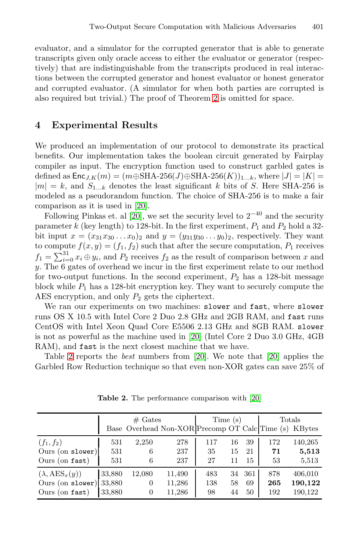evaluator, and a simulator for the corrupted generator that is able to generate transcripts given only oracle access to either the evaluator or generator (respectively) that are indistinguishable from the transcripts produced in real interactions between the corrupted generator and honest evaluator or honest generator and corrupted evaluator. (A simulator for when both parties are corrupted is also required but trivial.) The proof of Theorem 2 is omitted for space.

# **4 Ex[per](#page-18-14)imental Results**

We pr[odu](#page-18-14)ced an implementation of our protocol to demonstrate its practical benefits. Our implementation takes the boolean circuit generated by Fairplay compiler as input. The encryption function used to construct garbled gates is defined as  $\textsf{Enc}_{J,K}(m)=(m\oplus SHA-256(J)\oplus SHA-256(K))_{1...k}$ , where  $|J| = |K|$  $|m| = k$ , and  $S_{1...k}$  denotes the least significant k bits of S. Here SHA-256 is modeled as a pseudorandom function. The choice of SHA-256 is to make a fair comparison as it is used in [20].

Following Pinkas et. al [20], we set the security level to  $2^{-40}$  and the security parameter k (key length) to 128-bit. In the first experiment,  $P_1$  and  $P_2$  hold a 32bit input  $x = (x_{31}x_{30}...x_0)_2$  and  $y = (y_{31}y_{30}...y_0)_2$ , respectively. They want to compute  $f(x, y) = (f_1, f_2)$  such that after the secure computation,  $P_1$  receives  $f_1 = \sum_{i=0}^{31} x_i \oplus y_i$ , and  $P_2$  $P_2$  receives  $f_2$  as the result of comparison between x and y. The 6 gates of overhead we incur in the first experiment relate to our method for two-output functions[. In](#page-18-14) the second exp[erim](#page-18-14)ent,  $P_2$  has a 128-bit message block while  $P_1$  has a 128-bit encryption key. They want to securely compute the AES encryption, and only  $P_2$  gets the ciphertext.

We ran our experiments on two machines: slower and fast, where slower runs OS X 10.5 with Intel Core 2 Duo [2.8](#page-18-14) GHz and 2GB RAM, and fast runs CentOS with Intel Xeon Quad Core E5506 2.13 GHz and 8GB RAM. slower is not as powerful as the machine used in [20] (Intel Core 2 Duo 3.0 GHz, 4GB RAM), and fast is the next closest machine that we have.

Table 2 reports the *best* numbers from [20]. We note that [20] applies the Garbled Row Reduction technique so that even non-XOR gates can save 25% of

|                              |        | Time (s)       |                                                |     | Totals |     |     |         |
|------------------------------|--------|----------------|------------------------------------------------|-----|--------|-----|-----|---------|
|                              |        |                | Base Overhead Non-XOR Precomp OT Calc Time (s) |     |        |     |     | KBytes  |
| $(f_1, f_2)$                 | 531    | 2,250          | 278                                            | 117 | 16     | 39  | 172 | 140,265 |
| Ours (on $slower$ )          | 531    | 6              | 237                                            | 35  | 15     | 21  | 71  | 5,513   |
| Ours (on fast)               | 531    | 6              | 237                                            | 27  | 11     | 15  | 53  | 5,513   |
| $(\lambda, \text{AES}_x(y))$ | 33,880 | 12,080         | 11,490                                         | 483 | 34     | 361 | 878 | 406,010 |
| Ours (on slower)             | 33,880 | $\overline{0}$ | 11,286                                         | 138 | 58     | 69  | 265 | 190,122 |
| Ours (on fast)               | 33,880 | 0              | 11,286                                         | 98  | 44     | 50  | 192 | 190,122 |

**Table 2.** The performance comparison with [20]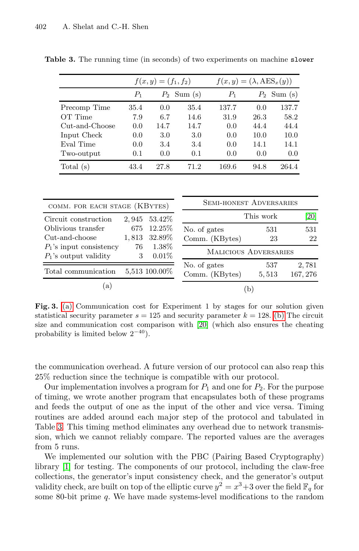|                | $f(x,y) = (f_1, f_2)$ |               |               | $f(x, y) = (\lambda, \text{AES}_x(y))$ |      |               |  |
|----------------|-----------------------|---------------|---------------|----------------------------------------|------|---------------|--|
|                | P1                    |               | $P_2$ Sum (s) | $P_1$                                  |      | $P_2$ Sum (s) |  |
| Precomp Time   | 35.4                  | 0.0           | 35.4          | 137.7                                  | 0.0  | 137.7         |  |
| OT Time        | 7.9                   | 6.7           | 14.6          | 31.9                                   | 26.3 | 58.2          |  |
| Cut-and-Choose | 0.0                   | 14.7          | 14.7          | 0.0                                    | 44.4 | 44.4          |  |
| Input Check    | 0.0                   | 3.0           | 3.0           | 0.0                                    | 10.0 | 10.0          |  |
| Eval Time      | 0.0                   | 3.4           | 3.4           | 0.0                                    | 14.1 | 14.1          |  |
| Two-output     | 0.1                   | $0.0^{\circ}$ | 0.1           | 0.0                                    | 0.0  | 0.0           |  |
| Total $(s)$    | 43.4                  | 27.8          | 71.2          | 169.6                                  | 94.8 | 264.4         |  |

**Table 3.** The running time (in seconds) of two experiments on machine slower

<span id="page-16-0"></span>

| COMM. FOR EACH STAGE (KBYTES)                                      |   |                                                      | <b>SEMI-HONEST ADVERSARIES</b>                                 |              |                   |
|--------------------------------------------------------------------|---|------------------------------------------------------|----------------------------------------------------------------|--------------|-------------------|
| Circuit construction                                               |   | 2,945 53.42\%                                        |                                                                | This work    | [20]              |
| Oblivious transfer<br>Cut-and-choose<br>$P_1$ 's input consistency | 3 | 675 12.25\%<br>1,813 32.89%<br>76 1.38\%<br>$0.01\%$ | No. of gates<br>Comm. (KBytes)<br><b>MALICIOUS ADVERSARIES</b> | 531<br>23    | 531<br>22         |
| $P_1$ 's output validity<br>Total communication                    |   | 5,513 100.00%                                        | No. of gates<br>Comm. (KBytes)                                 | 537<br>5,513 | 2,781<br>167, 276 |
| a)                                                                 |   |                                                      | b                                                              |              |                   |

Fig. 3. (a) Communication cost for Experiment 1 by stages for our solution given statistical security parameter  $s = 125$  and security parameter  $k = 128$ . (b) The circuit size and communication cost comparison with [20] (which also ensures the cheating probability is limited below  $2^{-40}$ ).

the communication overhead. A future version of our protocol can also reap this 25% reduction since the technique is compatible with our protocol.

Our implementation involves a program for  $P_1$  and one for  $P_2$ . For the purpose of timing, we wrote another program that encapsulates both of these programs and feeds the output of one as the input of the other and vice versa. Timing routines are added around each major step of the protocol and tabulated in Table 3. This timing method eliminates any overhead due to network transmission, which we cannot reliably compare. The reported values are the averages from 5 runs.

We implemented our solution with the PBC (Pairing Based Cryptography) library [1] for testing. The components of our protocol, including the claw-free collections, the generator's input consistency check, and the generator's output validity check, are built on top of the elliptic curve  $y^2 = x^3 + 3$  over the field  $\mathbb{F}_q$  for some 80-bit prime q. We have made systems-level modifications to the random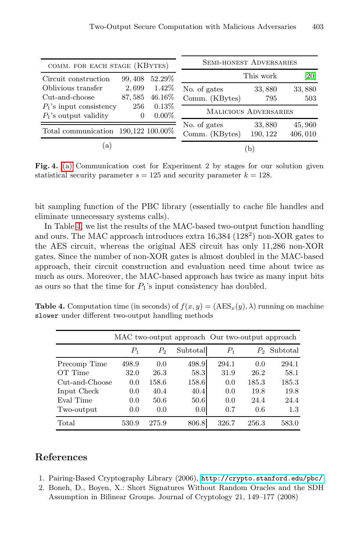| COMM. FOR EACH STAGE (KBYTES)                                                              | <b>SEMI-HONEST ADVERSARIES</b> |                                |                    |                   |  |  |
|--------------------------------------------------------------------------------------------|--------------------------------|--------------------------------|--------------------|-------------------|--|--|
| 52.29%<br>99, 408<br>Circuit construction                                                  |                                | This work<br>[20]              |                    |                   |  |  |
| 2,699<br>Oblivious transfer<br>Cut-and-choose<br>87,585                                    | 1.42\%<br>46.16\%              | No. of gates<br>Comm. (KBytes) | 33,880<br>795      | 33,880<br>503     |  |  |
| $0.13\%$<br>256<br>$P_1$ 's input consistency<br>$0.00\%$<br>$P_1$ 's output validity<br>0 |                                | <b>MALICIOUS ADVERSARIES</b>   |                    |                   |  |  |
| Total communication $190,122$ $100.00\%$                                                   |                                | No. of gates<br>Comm. (KBytes) | 33,880<br>190, 122 | 45,960<br>406,010 |  |  |
| $\lbrack a \rbrack$                                                                        |                                |                                | b                  |                   |  |  |

Fig. 4. (a) Communication cost for Experiment 2 by stages for our solution given statistical security parameter  $s = 125$  and security parameter  $k = 128$ .

bit sampling function of the PBC library (essentially to cache file handles and eliminate unnecessary systems calls).

In Table 4, we list the results of the MAC-based two-output function handling and ours. The MAC approach introduces extra 16,384 (128<sup>2</sup>) non-XOR gates to the AES circuit, whereas the original AES circuit has only 11,286 non-XOR gates. Since the number of non-XOR gates is almost doubled in the MAC-based approach, their circuit construction and evaluation need time about twice as much as ours. Moreover, the MAC-based approach has twice as many input bits as ours so that the time for  $P_1$ 's input consistency has doubled.

**Table 4.** Computation time (in seconds) of  $f(x, y) = (AES_x(y), \lambda)$  running on machine slower under different two-output handling methods

|                | MAC two-output approach Our two-output approach |         |                  |             |                |          |
|----------------|-------------------------------------------------|---------|------------------|-------------|----------------|----------|
|                | $P_{\rm 1}$                                     | $P_{2}$ | Subtotal         | $P_{\rm 1}$ | P <sub>2</sub> | Subtotal |
| Precomp Time   | 498.9                                           | 0.0     | 498.9            | 294.1       | 0.0            | 294.1    |
| OT Time        | 32.0                                            | 26.3    | 58.3             | 31.9        | 26.2           | 58.1     |
| Cut-and-Choose | 0.0                                             | 158.6   | 158.6            | 0.0         | 185.3          | 185.3    |
| Input Check    | 0.0                                             | 40.4    | 40.4             | 0.0         | 19.8           | 19.8     |
| Eval Time      | 0.0                                             | 50.6    | 50.6             | 0.0         | 24.4           | 24.4     |
| Two-output     | 0.0                                             | 0.0     | 0.0 <sub>l</sub> | 0.7         | 0.6            | 1.3      |
| Total          | 530.9                                           | 275.9   | 806.8            | 326.7       | 256.3          | 583.0    |

# <span id="page-17-0"></span>**References**

- 1. Pairing-Based Cryptography Library (2006), http://crypto.stanford.edu/pbc/
- 2. Boneh, D., Boyen, X.: Short Signatures Without Random Oracles and the SDH Assumption in Bilinear Groups. Journal of Cryptology 21, 149–177 (2008)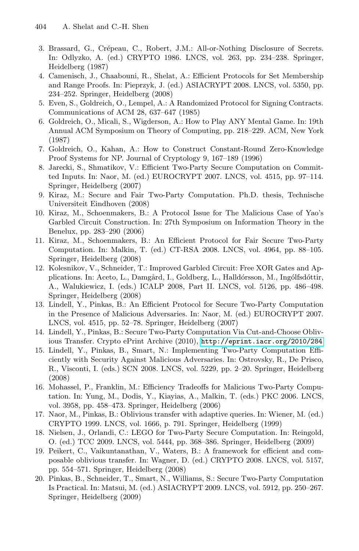- <span id="page-18-13"></span><span id="page-18-12"></span><span id="page-18-0"></span>3. Brassard, G., Crépeau, C., Robert, J.M.: All-or-Nothing Disclosure of Secrets. In: Odlyzko, A. (ed.) CRYPTO 1986. LNCS, vol. 263, pp. 234–238. Springer, Heidelberg (1987)
- <span id="page-18-11"></span><span id="page-18-2"></span>4. Camenisch, J., Chaabouni, R., Shelat, A.: Efficient Protocols for Set Membership and Range Proofs. In: Pieprzyk, J. (ed.) ASIACRYPT 2008. LNCS, vol. 5350, pp. 234–252. Springer, Heidelberg (2008)
- <span id="page-18-4"></span>5. Even, S., Goldreich, O., Lempel, A.: A Randomized Protocol for Signing Contracts. Communications of ACM 28, 637–647 (1985)
- <span id="page-18-6"></span>6. Goldreich, O., Micali, S., Wigderson, A.: How to Play ANY Mental Game. In: 19th Annual ACM Symposium on Theory of Computing, pp. 218–229. ACM, New York (1987)
- <span id="page-18-3"></span>7. Goldreich, O., Kahan, A.: How to Construct Constant-Round Zero-Knowledge Proof Systems for NP. Journal of Cryptology 9, 167–189 (1996)
- 8. Jarecki, S., Shmatikov, V.: Efficient Two-Party Secure Computation on Committed Inputs. In: Naor, M. (ed.) EUROCRYPT 2007. LNCS, vol. 4515, pp. 97–114. Springer, Heidelberg (2007)
- 9. Kiraz, M.: Secure and Fair Two-Party Computation. Ph.D. thesis, Technische Universiteit Eindhoven (2008)
- <span id="page-18-1"></span>10. Kiraz, M., Schoenmakers, B.: A Protocol Issue for The Malicious Case of Yao's Garbled Circuit Construction. In: 27th Symposium on Information Theory in the Benelux, pp. 283–290 (2006)
- <span id="page-18-8"></span>11. Kiraz, M., Schoenmakers, B.: An Efficient Protocol for Fair Secure Two-Party Computation. In: Malkin, T. (ed.) CT-RSA 2008. LNCS, vol. 4964, pp. 88–105. Springer, Heidelberg (2008)
- <span id="page-18-7"></span>12. Kolesnikov, V., Schneide[r,](http://eprint.iacr.org/2010/284) [T.:](http://eprint.iacr.org/2010/284) [Improved](http://eprint.iacr.org/2010/284) [Garbled](http://eprint.iacr.org/2010/284) [Circuit:](http://eprint.iacr.org/2010/284) [Free](http://eprint.iacr.org/2010/284) XOR Gates and Applications. In: Aceto, L., Damgård, I., Goldberg, L., Halldórsson, M., Ingólfsdóttir, A., Walukiewicz, I. (eds.) ICALP 2008, Part II. LNCS, vol. 5126, pp. 486–498. Springer, Heidelberg (2008)
- <span id="page-18-5"></span>13. Lindell, Y., Pinkas, B.: An Efficient Protocol for Secure Two-Party Computation in the Presence of Malicious Adversaries. In: Naor, M. (ed.) EUROCRYPT 2007. LNCS, vol. 4515, pp. 52–78. Springer, Heidelberg (2007)
- <span id="page-18-9"></span>14. Lindell, Y., Pinkas, B.: Secure Two-Party Computation Via Cut-and-Choose Oblivious Transfer. Crypto ePrint Archive (2010), http://eprint.iacr.org/2010/284
- <span id="page-18-10"></span>15. Lindell, Y., Pinkas, B., Smart, N.: Implementing Two-Party Computation Efficiently with Security Against Malicious Adversaries. In: Ostrovsky, R., De Prisco, R., Visconti, I. (eds.) SCN 2008. LNCS, vol. 5229, pp. 2–20. Springer, Heidelberg (2008)
- <span id="page-18-14"></span>16. Mohassel, P., Franklin, M.: Efficiency Tradeoffs for Malicious Two-Party Computation. In: Yung, M., Dodis, Y., Kiayias, A., Malkin, T. (eds.) PKC 2006. LNCS, vol. 3958, pp. 458–473. Springer, Heidelberg (2006)
- 17. Naor, M., Pinkas, B.: Oblivious transfer with adaptive queries. In: Wiener, M. (ed.) CRYPTO 1999. LNCS, vol. 1666, p. 791. Springer, Heidelberg (1999)
- 18. Nielsen, J., Orlandi, C.: LEGO for Two-Party Secure Computation. In: Reingold, O. (ed.) TCC 2009. LNCS, vol. 5444, pp. 368–386. Springer, Heidelberg (2009)
- 19. Peikert, C., Vaikuntanathan, V., Waters, B.: A framework for efficient and composable oblivious transfer. In: Wagner, D. (ed.) CRYPTO 2008. LNCS, vol. 5157, pp. 554–571. Springer, Heidelberg (2008)
- 20. Pinkas, B., Schneider, T., Smart, N., Williams, S.: Secure Two-Party Computation Is Practical. In: Matsui, M. (ed.) ASIACRYPT 2009. LNCS, vol. 5912, pp. 250–267. Springer, Heidelberg (2009)